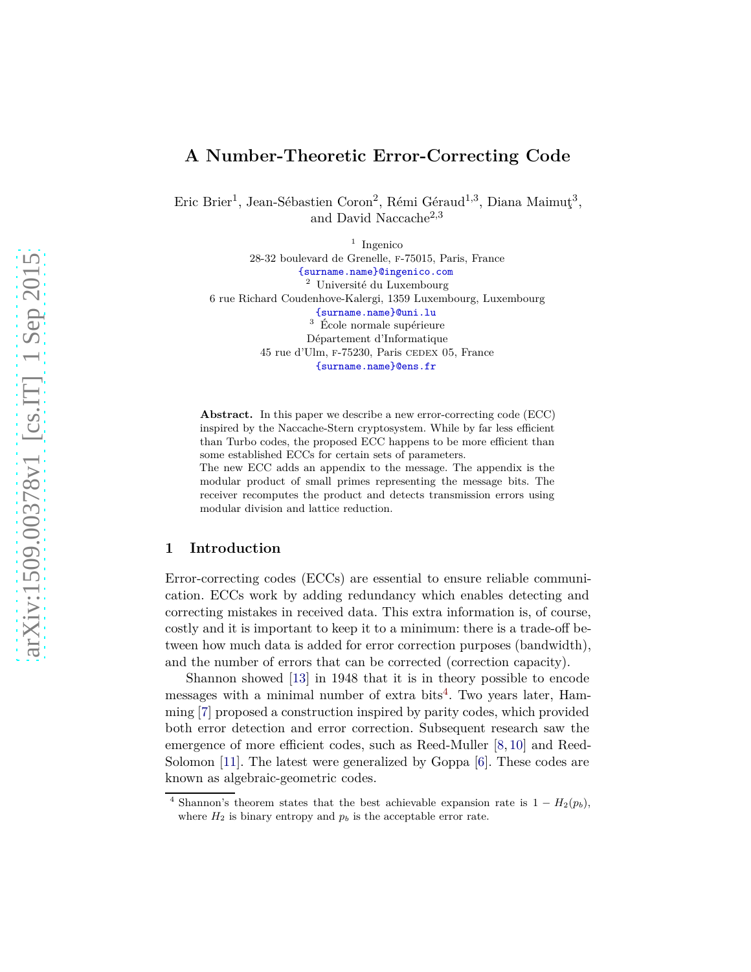# **A Number-Theoretic Error-Correcting Code**

Eric Brier<sup>1</sup>, Jean-Sébastien Coron<sup>2</sup>, Rémi Géraud<sup>1,3</sup>, Diana Maimuţ<sup>3</sup>, and David Naccache2*,*<sup>3</sup>

1 Ingenico 28-32 boulevard de Grenelle, f-75015, Paris, France <{surname.name}@ingenico.com> <sup>2</sup> Université du Luxembourg 6 rue Richard Coudenhove-Kalergi, 1359 Luxembourg, Luxembourg <{surname.name}@uni.lu>  $3 \text{ École normale supérieure}$ Département d'Informatique 45 rue d'Ulm, f-75230, Paris cedex 05, France <{surname.name}@ens.fr>

**Abstract.** In this paper we describe a new error-correcting code (ECC) inspired by the Naccache-Stern cryptosystem. While by far less efficient than Turbo codes, the proposed ECC happens to be more efficient than some established ECCs for certain sets of parameters. The new ECC adds an appendix to the message. The appendix is the

modular product of small primes representing the message bits. The receiver recomputes the product and detects transmission errors using modular division and lattice reduction.

### **1 Introduction**

Error-correcting codes (ECCs) are essential to ensure reliable communication. ECCs work by adding redundancy which enables detecting and correcting mistakes in received data. This extra information is, of course, costly and it is important to keep it to a minimum: there is a trade-off between how much data is added for error correction purposes (bandwidth), and the number of errors that can be corrected (correction capacity).

Shannon showed [\[13\]](#page-11-0) in 1948 that it is in theory possible to encode messages with a minimal number of extra bits<sup>[4](#page-0-0)</sup>. Two years later, Hamming [\[7\]](#page-10-0) proposed a construction inspired by parity codes, which provided both error detection and error correction. Subsequent research saw the emergence of more efficient codes, such as Reed-Muller [\[8,](#page-10-1) [10\]](#page-11-1) and Reed-Solomon [\[11\]](#page-11-2). The latest were generalized by Goppa [\[6\]](#page-10-2). These codes are known as algebraic-geometric codes.

<span id="page-0-0"></span><sup>&</sup>lt;sup>4</sup> Shannon's theorem states that the best achievable expansion rate is  $1 - H_2(p_b)$ , where  $H_2$  is binary entropy and  $p_b$  is the acceptable error rate.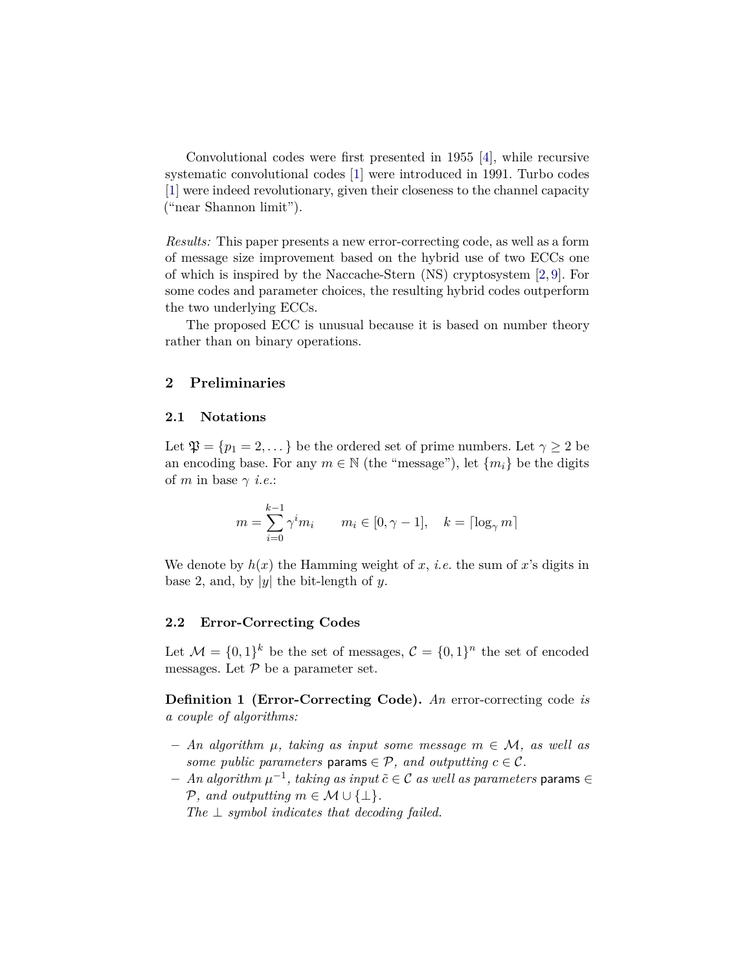Convolutional codes were first presented in 1955 [\[4\]](#page-10-3), while recursive systematic convolutional codes [\[1\]](#page-10-4) were introduced in 1991. Turbo codes [\[1\]](#page-10-4) were indeed revolutionary, given their closeness to the channel capacity ("near Shannon limit").

*Results:* This paper presents a new error-correcting code, as well as a form of message size improvement based on the hybrid use of two ECCs one of which is inspired by the Naccache-Stern (NS) cryptosystem [\[2,](#page-10-5) [9\]](#page-10-6). For some codes and parameter choices, the resulting hybrid codes outperform the two underlying ECCs.

The proposed ECC is unusual because it is based on number theory rather than on binary operations.

### **2 Preliminaries**

#### **2.1 Notations**

Let  $\mathfrak{P} = \{p_1 = 2, ...\}$  be the ordered set of prime numbers. Let  $\gamma \geq 2$  be an encoding base. For any  $m \in \mathbb{N}$  (the "message"), let  $\{m_i\}$  be the digits of *m* in base  $\gamma$  *i.e.*:

$$
m = \sum_{i=0}^{k-1} \gamma^i m_i \qquad m_i \in [0, \gamma - 1], \quad k = \lceil \log_\gamma m \rceil
$$

We denote by  $h(x)$  the Hamming weight of x, *i.e.* the sum of x's digits in base 2, and, by |*y*| the bit-length of *y*.

#### **2.2 Error-Correcting Codes**

Let  $\mathcal{M} = \{0,1\}^k$  be the set of messages,  $\mathcal{C} = \{0,1\}^n$  the set of encoded messages. Let  $P$  be a parameter set.

**Definition 1 (Error-Correcting Code).** *An* error-correcting code *is a couple of algorithms:*

- **–** *An algorithm µ, taking as input some message m* ∈ M*, as well as some public parameters* params  $\in \mathcal{P}$ *, and outputting*  $c \in \mathcal{C}$ *.*
- **–** *An algorithm µ* −1 *, taking as input c*˜ ∈ C *as well as parameters* params ∈  $P$ *, and outputting*  $m \in \mathcal{M} \cup \{\perp\}.$

*The* ⊥ *symbol indicates that decoding failed.*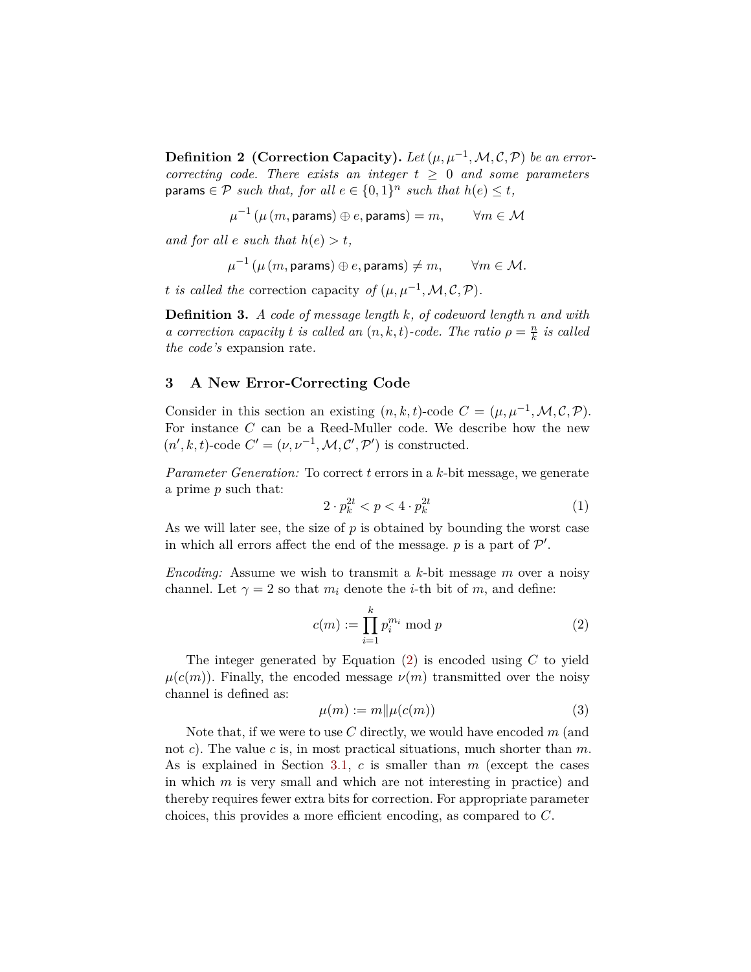**Definition 2** (Correction Capacity). Let  $(\mu, \mu^{-1}, \mathcal{M}, \mathcal{C}, \mathcal{P})$  be an error*correcting code. There exists an integer*  $t \geq 0$  *and some parameters*  $\mathsf{params} \in \mathcal{P} \ \ \textit{such that, for all} \ \ e \in \{0,1\}^n \ \ \textit{such that} \ \ h(e) \leq t,$ 

 $\mu^{-1}\left(\mu\left(m,\textsf{params}\right)\oplus e,\textsf{params}\right)=m,\qquad\forall m\in\mathcal{M}$ 

*and for all*  $e$  *such that*  $h(e) > t$ ,

$$
\mu^{-1}\left(\mu\left(m,\mathsf{params}\right) \oplus e,\mathsf{params}\right) \neq m, \qquad \forall m \in \mathcal{M}.
$$

*t is called the* correction capacity *of*  $(\mu, \mu^{-1}, \mathcal{M}, \mathcal{C}, \mathcal{P})$ *.* 

**Definition 3.** *A code of message length k, of codeword length n and with a* correction capacity *t is called an*  $(n, k, t)$ *-code. The ratio*  $\rho = \frac{n}{k}$ *k is called the code's* expansion rate*.*

# <span id="page-2-2"></span>**3 A New Error-Correcting Code**

Consider in this section an existing  $(n, k, t)$ -code  $C = (\mu, \mu^{-1}, \mathcal{M}, \mathcal{C}, \mathcal{P})$ . For instance *C* can be a Reed-Muller code. We describe how the new  $(n', k, t)$ -code  $C' = (\nu, \nu^{-1}, \mathcal{M}, \mathcal{C}', \mathcal{P}')$  is constructed.

*Parameter Generation:* To correct *t* errors in a *k*-bit message, we generate a prime *p* such that:

<span id="page-2-1"></span>
$$
2 \cdot p_k^{2t} < p < 4 \cdot p_k^{2t} \tag{1}
$$

As we will later see, the size of *p* is obtained by bounding the worst case in which all errors affect the end of the message.  $p$  is a part of  $\mathcal{P}'$ .

*Encoding:* Assume we wish to transmit a *k*-bit message *m* over a noisy channel. Let  $\gamma = 2$  so that  $m_i$  denote the *i*-th bit of  $m$ , and define:

<span id="page-2-0"></span>
$$
c(m) := \prod_{i=1}^{k} p_i^{m_i} \bmod p \tag{2}
$$

The integer generated by Equation [\(2\)](#page-2-0) is encoded using *C* to yield  $\mu(c(m))$ . Finally, the encoded message  $\nu(m)$  transmitted over the noisy channel is defined as:

$$
\mu(m) := m \| \mu(c(m)) \tag{3}
$$

Note that, if we were to use *C* directly, we would have encoded *m* (and not *c*). The value *c* is, in most practical situations, much shorter than *m*. As is explained in Section [3.1](#page-4-0), *c* is smaller than *m* (except the cases in which *m* is very small and which are not interesting in practice) and thereby requires fewer extra bits for correction. For appropriate parameter choices, this provides a more efficient encoding, as compared to *C*.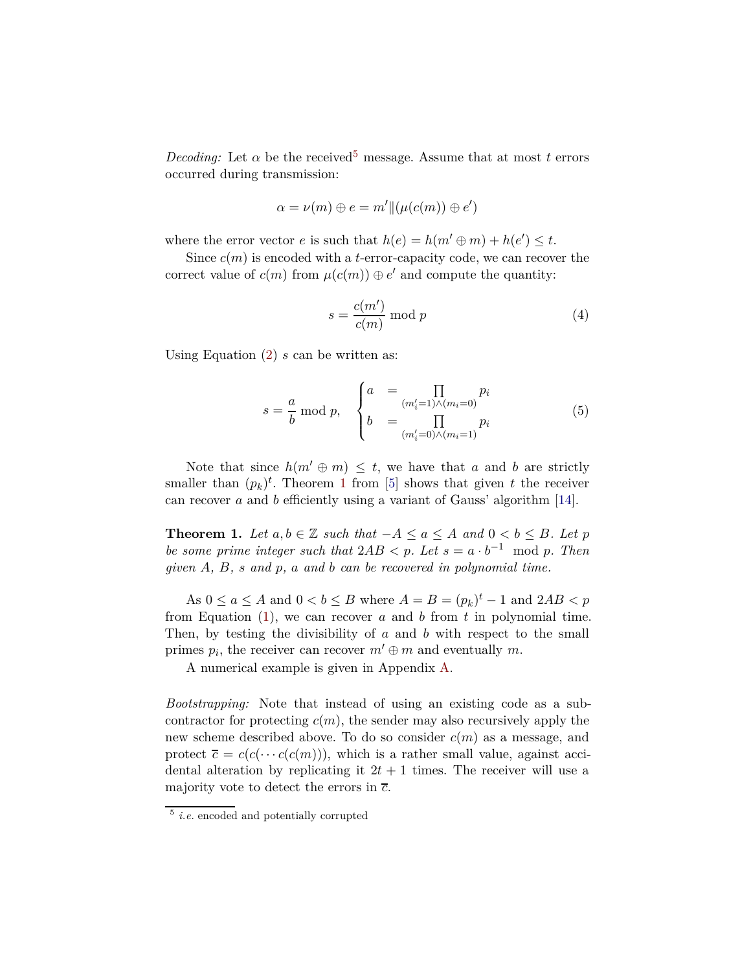*Decoding:* Let  $\alpha$  be the received<sup>[5](#page-3-0)</sup> message. Assume that at most *t* errors occurred during transmission:

$$
\alpha = \nu(m) \oplus e = m' || (\mu(c(m)) \oplus e')
$$

where the error vector *e* is such that  $h(e) = h(m' \oplus m) + h(e') \leq t$ .

Since  $c(m)$  is encoded with a *t*-error-capacity code, we can recover the correct value of  $c(m)$  from  $\mu(c(m)) \oplus e'$  and compute the quantity:

$$
s = \frac{c(m')}{c(m)} \bmod p \tag{4}
$$

Using Equation [\(2](#page-2-0)) *s* can be written as:

$$
s = \frac{a}{b} \bmod p, \quad \begin{cases} a &= \prod_{(m'_i=1)\wedge(m_i=0)} p_i \\ b &= \prod_{(m'_i=0)\wedge(m_i=1)} p_i \end{cases} \tag{5}
$$

<span id="page-3-1"></span>Note that since  $h(m' \oplus m) \leq t$ , we have that *a* and *b* are strictly smaller than  $(p_k)^t$ . Theorem [1](#page-3-1) from [\[5\]](#page-10-7) shows that given *t* the receiver can recover *a* and *b* efficiently using a variant of Gauss' algorithm [\[14\]](#page-11-3).

**Theorem 1.** *Let*  $a, b \in \mathbb{Z}$  *such that*  $-A \le a \le A$  *and*  $0 \le b \le B$ *. Let*  $p$ *be some prime integer such that*  $2AB < p$ *. Let*  $s = a \cdot b^{-1} \mod p$ *. Then given A, B, s and p, a and b can be recovered in polynomial time.*

As  $0 \le a \le A$  and  $0 < b \le B$  where  $A = B = (p_k)^t - 1$  and  $2AB < p$ from Equation [\(1\)](#page-2-1), we can recover *a* and *b* from *t* in polynomial time. Then, by testing the divisibility of *a* and *b* with respect to the small primes  $p_i$ , the receiver can recover  $m' \oplus m$  and eventually  $m$ .

A numerical example is given in Appendix [A.](#page-11-4)

*Bootstrapping:* Note that instead of using an existing code as a subcontractor for protecting  $c(m)$ , the sender may also recursively apply the new scheme described above. To do so consider *c*(*m*) as a message, and protect  $\overline{c} = c(c(\cdots c(c(m)))$ , which is a rather small value, against accidental alteration by replicating it  $2t + 1$  times. The receiver will use a majority vote to detect the errors in *c*.

<span id="page-3-0"></span><sup>5</sup> *i.e.* encoded and potentially corrupted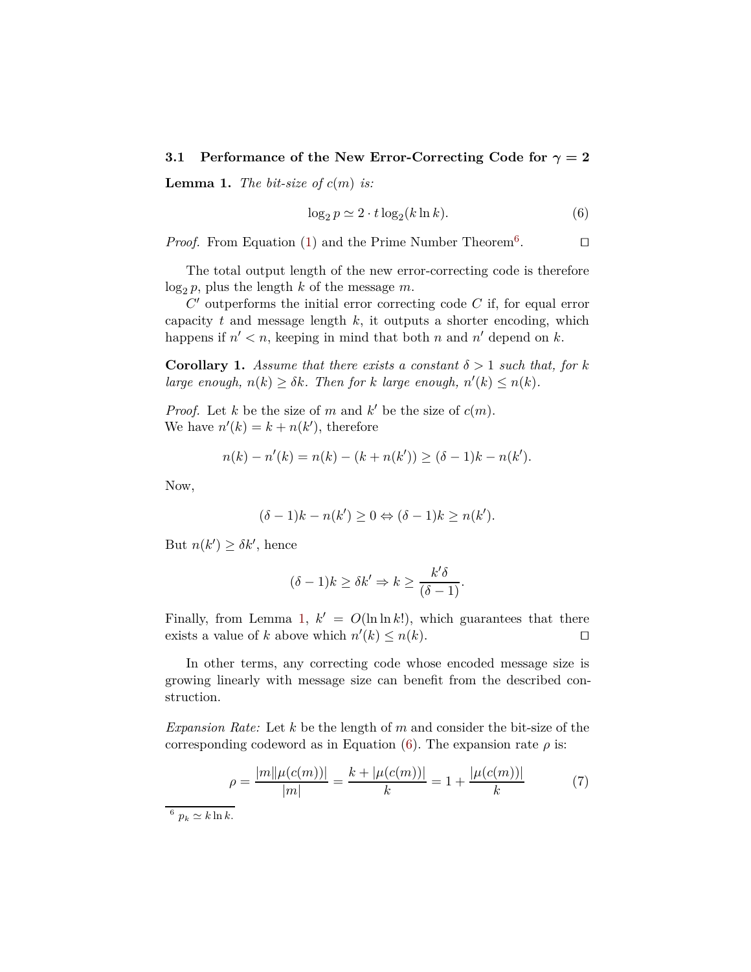#### <span id="page-4-2"></span><span id="page-4-0"></span>**3.1 Performance of the New Error-Correcting Code for** *γ* **= 2**

**Lemma 1.** *The bit-size of*  $c(m)$  *is:* 

<span id="page-4-3"></span>
$$
\log_2 p \simeq 2 \cdot t \log_2(k \ln k). \tag{6}
$$

*Proof.* From Equation [\(1](#page-2-1)) and the Prime Number Theorem<sup>[6](#page-4-1)</sup>.  $□$ 

The total output length of the new error-correcting code is therefore  $\log_2 p$ , plus the length *k* of the message *m*.

*C* ′ outperforms the initial error correcting code *C* if, for equal error capacity *t* and message length *k*, it outputs a shorter encoding, which happens if  $n' < n$ , keeping in mind that both *n* and *n'* depend on *k*.

<span id="page-4-4"></span>**Corollary 1.** *Assume that there exists a constant*  $\delta > 1$  *such that, for k large enough,*  $n(k) \geq \delta k$ *. Then for k large enough,*  $n'(k) \leq n(k)$ *.* 

*Proof.* Let *k* be the size of *m* and  $k'$  be the size of  $c(m)$ . We have  $n'(k) = k + n(k')$ , therefore

$$
n(k) - n'(k) = n(k) - (k + n(k')) \ge (\delta - 1)k - n(k').
$$

Now,

$$
(\delta - 1)k - n(k') \ge 0 \Leftrightarrow (\delta - 1)k \ge n(k').
$$

But  $n(k') \geq \delta k'$ , hence

$$
(\delta - 1)k \ge \delta k' \Rightarrow k \ge \frac{k'\delta}{(\delta - 1)}.
$$

Finally, from Lemma [1](#page-4-2),  $k' = O(\ln \ln k!)$ , which guarantees that there exists a value of *k* above which  $n'(k) \leq n(k)$ . □

In other terms, any correcting code whose encoded message size is growing linearly with message size can benefit from the described construction.

*Expansion Rate:* Let *k* be the length of *m* and consider the bit-size of the corresponding codeword as in Equation [\(6](#page-4-3)). The expansion rate  $\rho$  is:

$$
\rho = \frac{|m||\mu(c(m))|}{|m|} = \frac{k + |\mu(c(m))|}{k} = 1 + \frac{|\mu(c(m))|}{k} \tag{7}
$$

<span id="page-4-1"></span><sup>6</sup>  $p_k \simeq k \ln k$ .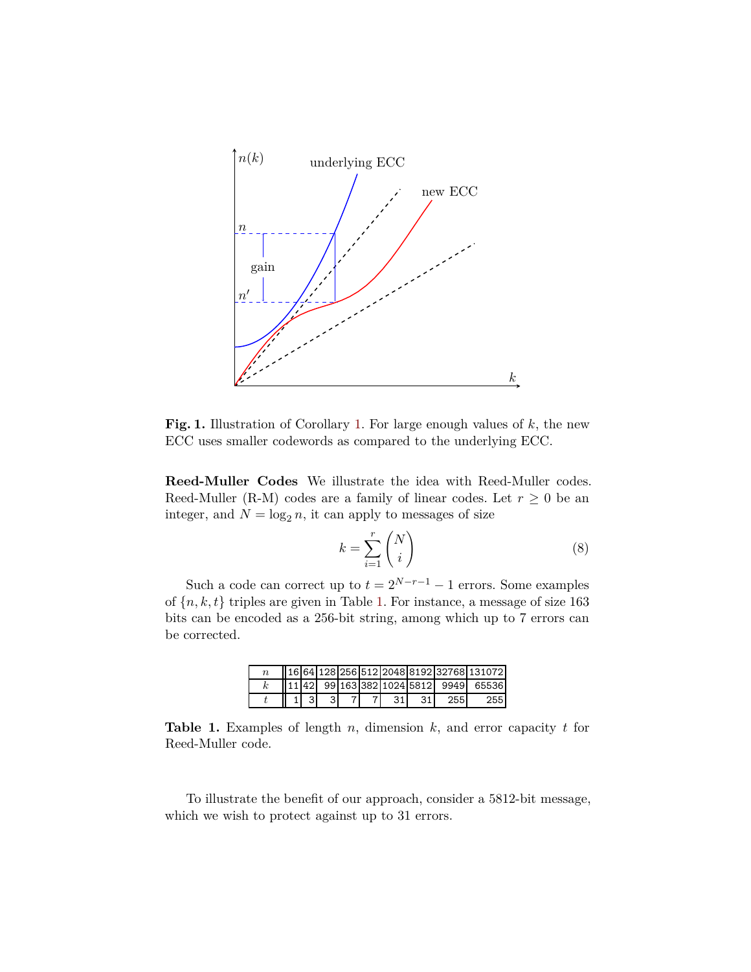

**Fig. 1.** Illustration of Corollary [1.](#page-4-4) For large enough values of *k*, the new ECC uses smaller codewords as compared to the underlying ECC.

**Reed-Muller Codes** We illustrate the idea with Reed-Muller codes. Reed-Muller (R-M) codes are a family of linear codes. Let  $r \geq 0$  be an integer, and  $N = \log_2 n$ , it can apply to messages of size

$$
k = \sum_{i=1}^{r} \binom{N}{i} \tag{8}
$$

Such a code can correct up to  $t = 2^{N-r-1} - 1$  errors. Some examples of  ${n, k, t}$  triples are given in Table [1](#page-5-0). For instance, a message of size 163 bits can be encoded as a 256-bit string, among which up to 7 errors can be corrected.

|  |  |  |      |     |     | 16 64  128  256  512  2048  8192  32768  131072 |
|--|--|--|------|-----|-----|-------------------------------------------------|
|  |  |  |      |     |     | 11 42  99 163 382 1024 5812  9949  65536        |
|  |  |  | -311 | 31' | 255 | 255 <sup>1</sup>                                |

<span id="page-5-0"></span>**Table 1.** Examples of length *n*, dimension *k*, and error capacity *t* for Reed-Muller code.

To illustrate the benefit of our approach, consider a 5812-bit message, which we wish to protect against up to 31 errors.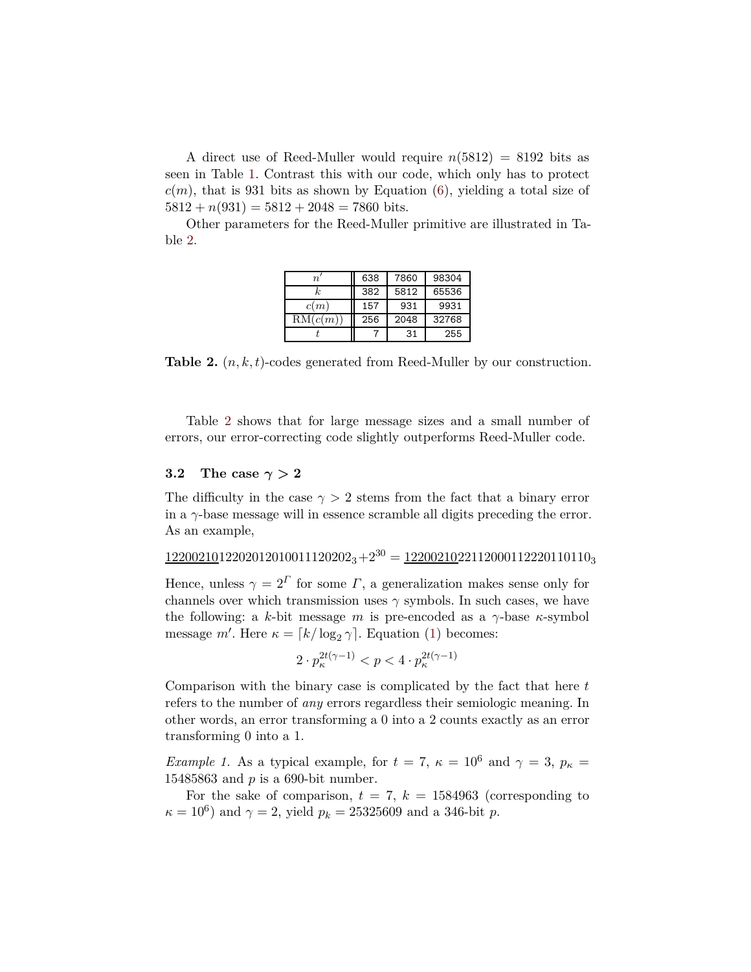A direct use of Reed-Muller would require  $n(5812) = 8192$  bits as seen in Table [1](#page-5-0). Contrast this with our code, which only has to protect  $c(m)$ , that is 931 bits as shown by Equation [\(6](#page-4-3)), yielding a total size of  $5812 + n(931) = 5812 + 2048 = 7860$  bits.

Other parameters for the Reed-Muller primitive are illustrated in Table [2.](#page-6-0)

| $\boldsymbol{n}$ | 638 | 7860 | 98304 |
|------------------|-----|------|-------|
| k,               | 382 | 5812 | 65536 |
| c(m)             | 157 | 931  | 9931  |
| RM(c(m))         | 256 | 2048 | 32768 |
|                  |     | 31   | 255   |

<span id="page-6-0"></span>**Table 2.** (*n, k, t*)-codes generated from Reed-Muller by our construction.

Table [2](#page-6-0) shows that for large message sizes and a small number of errors, our error-correcting code slightly outperforms Reed-Muller code.

### **3.2** The case  $\gamma > 2$

The difficulty in the case  $\gamma > 2$  stems from the fact that a binary error in a *γ*-base message will in essence scramble all digits preceding the error. As an example,

 $1220021012202012010011120202_3+2^{30}=1220021022112000112220110110_3$ 

Hence, unless  $\gamma = 2^{\Gamma}$  for some  $\Gamma$ , a generalization makes sense only for channels over which transmission uses  $\gamma$  symbols. In such cases, we have the following: a *k*-bit message *m* is pre-encoded as a *γ*-base *κ*-symbol message *m'*. Here  $\kappa = \lfloor k/\log_2 \gamma \rfloor$ . Equation [\(1\)](#page-2-1) becomes:

$$
2 \cdot p_{\kappa}^{2t(\gamma - 1)} < p < 4 \cdot p_{\kappa}^{2t(\gamma - 1)}
$$

Comparison with the binary case is complicated by the fact that here *t* refers to the number of *any* errors regardless their semiologic meaning. In other words, an error transforming a 0 into a 2 counts exactly as an error transforming 0 into a 1.

<span id="page-6-1"></span>*Example 1.* As a typical example, for  $t = 7$ ,  $\kappa = 10^6$  and  $\gamma = 3$ ,  $p_{\kappa} =$ 15485863 and *p* is a 690-bit number.

For the sake of comparison,  $t = 7$ ,  $k = 1584963$  (corresponding to  $\kappa = 10^6$ ) and  $\gamma = 2$ , yield  $p_k = 25325609$  and a 346-bit *p*.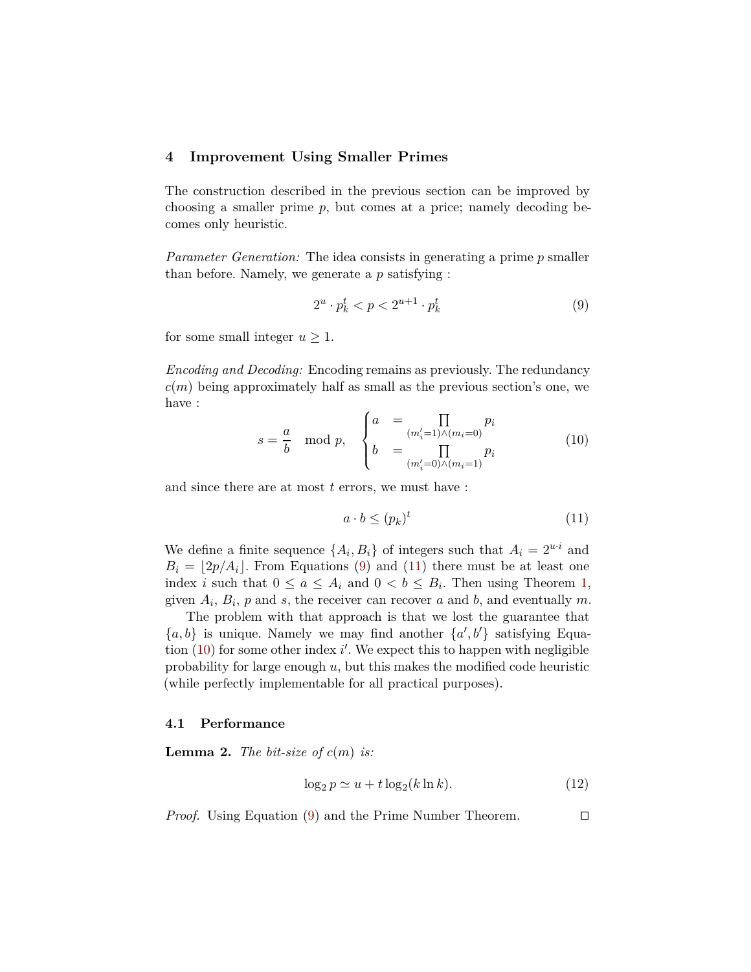#### **4 Improvement Using Smaller Primes**

The construction described in the previous section can be improved by choosing a smaller prime *p*, but comes at a price; namely decoding becomes only heuristic.

*Parameter Generation:* The idea consists in generating a prime *p* smaller than before. Namely, we generate a *p* satisfying :

<span id="page-7-0"></span>
$$
2^u \cdot p_k^t < p < 2^{u+1} \cdot p_k^t \tag{9}
$$

for some small integer  $u \geq 1$ .

*Encoding and Decoding:* Encoding remains as previously. The redundancy  $c(m)$  being approximately half as small as the previous section's one, we have :

<span id="page-7-2"></span>
$$
s = \frac{a}{b} \mod p, \quad \begin{cases} a & = \prod_{(m_i'=1)\wedge(m_i=0)} p_i \\ b & = \prod_{(m_i'=0)\wedge(m_i=1)} p_i \end{cases} \tag{10}
$$

and since there are at most *t* errors, we must have :

<span id="page-7-1"></span>
$$
a \cdot b \le (p_k)^t \tag{11}
$$

We define a finite sequence  $\{A_i, B_i\}$  of integers such that  $A_i = 2^{u \cdot i}$  and  $B_i = |2p/A_i|$ . From Equations [\(9](#page-7-0)) and [\(11\)](#page-7-1) there must be at least one index *i* such that  $0 \le a \le A_i$  and  $0 < b \le B_i$ . Then using Theorem [1](#page-3-1), given  $A_i$ ,  $B_i$ ,  $p$  and  $s$ , the receiver can recover  $a$  and  $b$ , and eventually  $m$ .

The problem with that approach is that we lost the guarantee that  ${a, b}$  is unique. Namely we may find another  ${a', b'}$  satisfying Equa-tion [\(10](#page-7-2)) for some other index *i*'. We expect this to happen with negligible probability for large enough *u*, but this makes the modified code heuristic (while perfectly implementable for all practical purposes).

#### **4.1 Performance**

**Lemma 2.** *The bit-size of*  $c(m)$  *is:* 

<span id="page-7-3"></span>
$$
\log_2 p \simeq u + t \log_2(k \ln k). \tag{12}
$$

*Proof.* Using Equation [\(9](#page-7-0)) and the Prime Number Theorem. □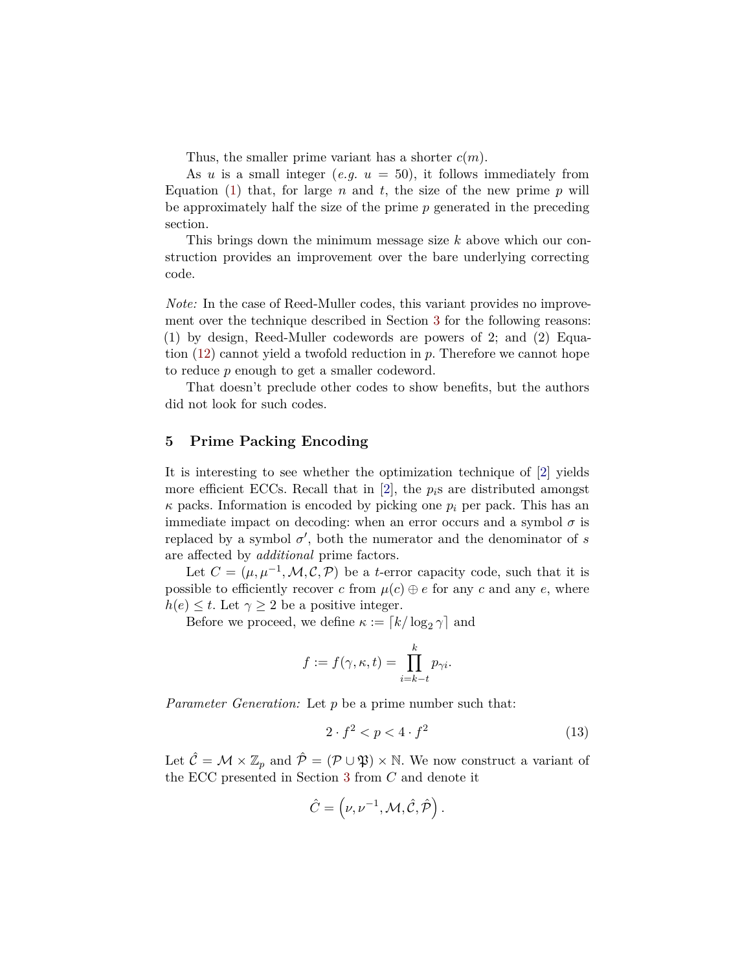Thus, the smaller prime variant has a shorter *c*(*m*).

As *u* is a small integer (*e.g.*  $u = 50$ ), it follows immediately from Equation [\(1\)](#page-2-1) that, for large *n* and *t*, the size of the new prime *p* will be approximately half the size of the prime *p* generated in the preceding section.

This brings down the minimum message size *k* above which our construction provides an improvement over the bare underlying correcting code.

*Note:* In the case of Reed-Muller codes, this variant provides no improvement over the technique described in Section [3](#page-2-2) for the following reasons: (1) by design, Reed-Muller codewords are powers of 2; and (2) Equation [\(12\)](#page-7-3) cannot yield a twofold reduction in *p*. Therefore we cannot hope to reduce *p* enough to get a smaller codeword.

That doesn't preclude other codes to show benefits, but the authors did not look for such codes.

### **5 Prime Packing Encoding**

It is interesting to see whether the optimization technique of [\[2\]](#page-10-5) yields more efficient ECCs. Recall that in [\[2\]](#page-10-5), the *pi*s are distributed amongst  $\kappa$  packs. Information is encoded by picking one  $p_i$  per pack. This has an immediate impact on decoding: when an error occurs and a symbol  $\sigma$  is replaced by a symbol  $\sigma'$ , both the numerator and the denominator of *s* are affected by *additional* prime factors.

Let  $C = (\mu, \mu^{-1}, \mathcal{M}, \mathcal{C}, \mathcal{P})$  be a *t*-error capacity code, such that it is possible to efficiently recover *c* from  $\mu(c) \oplus e$  for any *c* and any *e*, where  $h(e) \leq t$ . Let  $\gamma \geq 2$  be a positive integer.

Before we proceed, we define  $\kappa := [k/\log_2 \gamma]$  and

$$
f := f(\gamma, \kappa, t) = \prod_{i=k-t}^{k} p_{\gamma i}.
$$

*Parameter Generation:* Let *p* be a prime number such that:

<span id="page-8-0"></span>
$$
2 \cdot f^2 < p < 4 \cdot f^2 \tag{13}
$$

Let  $\hat{\mathcal{C}} = \mathcal{M} \times \mathbb{Z}_p$  and  $\hat{\mathcal{P}} = (\mathcal{P} \cup \mathfrak{P}) \times \mathbb{N}$ . We now construct a variant of the ECC presented in Section [3](#page-2-2) from *C* and denote it

$$
\hat{C} = \left(\nu, \nu^{-1}, \mathcal{M}, \hat{\mathcal{C}}, \hat{\mathcal{P}}\right).
$$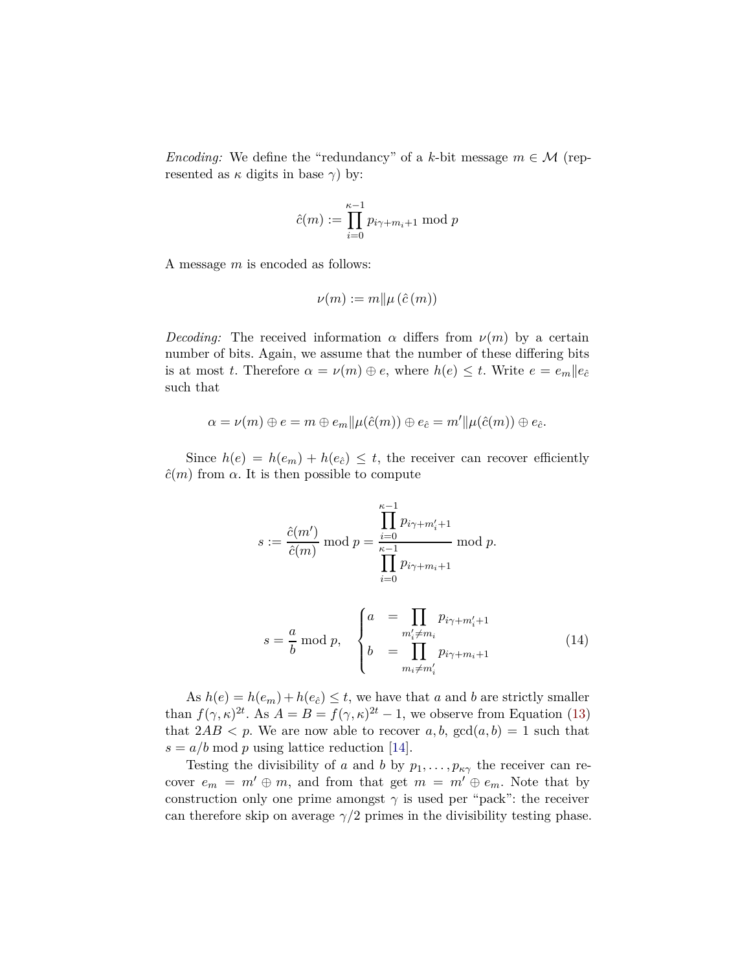*Encoding:* We define the "redundancy" of a *k*-bit message  $m \in \mathcal{M}$  (represented as  $\kappa$  digits in base  $\gamma$ ) by:

$$
\hat{c}(m) := \prod_{i=0}^{\kappa-1} p_{i\gamma + m_i + 1} \bmod p
$$

A message *m* is encoded as follows:

$$
\nu(m) := m \| \mu(\hat{c}(m))
$$

*Decoding:* The received information  $\alpha$  differs from  $\nu(m)$  by a certain number of bits. Again, we assume that the number of these differing bits is at most *t*. Therefore  $\alpha = \nu(m) \oplus e$ , where  $h(e) \leq t$ . Write  $e = e_m ||e_{\hat{c}}$ such that

$$
\alpha = \nu(m) \oplus e = m \oplus e_m || \mu(\hat{c}(m)) \oplus e_{\hat{c}} = m' || \mu(\hat{c}(m)) \oplus e_{\hat{c}}.
$$

Since  $h(e) = h(e_m) + h(e_{\hat{e}}) \leq t$ , the receiver can recover efficiently  $\hat{c}(m)$  from  $\alpha$ . It is then possible to compute

$$
s := \frac{\hat{c}(m')}{\hat{c}(m)} \mod p = \frac{\prod_{i=0}^{k-1} p_{i\gamma + m'_i + 1}}{\prod_{i=0}^{k-1} p_{i\gamma + m_i + 1}} \mod p.
$$
  

$$
s = \frac{a}{b} \mod p, \qquad \begin{cases} a = \prod_{m'_i \neq m_i} p_{i\gamma + m'_i + 1} \\ b = \prod_{m_i \neq m'_i} p_{i\gamma + m_i + 1} \end{cases} \tag{14}
$$

As  $h(e) = h(e_m) + h(e_{\hat{c}}) \le t$ , we have that *a* and *b* are strictly smaller than  $f(\gamma, \kappa)^{2t}$ . As  $A = B = f(\gamma, \kappa)^{2t} - 1$ , we observe from Equation [\(13](#page-8-0)) that  $2AB < p$ . We are now able to recover  $a, b, \text{gcd}(a, b) = 1$  such that  $s = a/b \mod p$  using lattice reduction [\[14\]](#page-11-3).

Testing the divisibility of *a* and *b* by  $p_1, \ldots, p_{\kappa \gamma}$  the receiver can recover  $e_m = m' \oplus m$ , and from that get  $m = m' \oplus e_m$ . Note that by construction only one prime amongst  $\gamma$  is used per "pack": the receiver can therefore skip on average  $\gamma/2$  primes in the divisibility testing phase.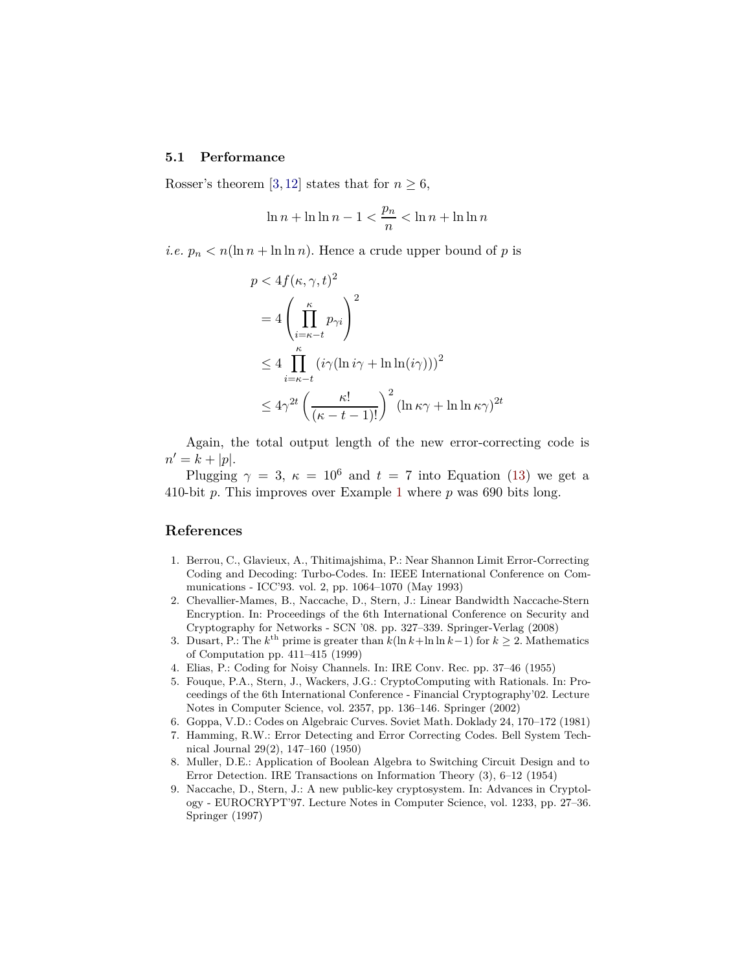#### **5.1 Performance**

Rosser's theorem [\[3,](#page-10-8) [12\]](#page-11-5) states that for  $n \geq 6$ ,

$$
\ln n + \ln \ln n - 1 < \frac{p_n}{n} < \ln n + \ln \ln n
$$

*i.e.*  $p_n < n(\ln n + \ln \ln n)$ . Hence a crude upper bound of p is

$$
p < 4f(\kappa, \gamma, t)^2
$$
  
=  $4\left(\prod_{i=\kappa-t}^{\kappa} p_{\gamma i}\right)^2$   
 $\leq 4\prod_{i=\kappa-t}^{\kappa} (i\gamma(\ln i\gamma + \ln \ln(i\gamma)))^2$   
 $\leq 4\gamma^{2t} \left(\frac{\kappa!}{(\kappa - t - 1)!}\right)^2 (\ln \kappa \gamma + \ln \ln \kappa \gamma)^{2t}$ 

Again, the total output length of the new error-correcting code is  $n' = k + |p|.$ 

Plugging  $\gamma = 3$ ,  $\kappa = 10^6$  and  $t = 7$  into Equation [\(13](#page-8-0)) we get a 410-bit *p*. This improves over Example [1](#page-6-1) where *p* was 690 bits long.

#### **References**

- <span id="page-10-4"></span>1. Berrou, C., Glavieux, A., Thitimajshima, P.: Near Shannon Limit Error-Correcting Coding and Decoding: Turbo-Codes. In: IEEE International Conference on Communications - ICC'93. vol. 2, pp. 1064–1070 (May 1993)
- <span id="page-10-5"></span>2. Chevallier-Mames, B., Naccache, D., Stern, J.: Linear Bandwidth Naccache-Stern Encryption. In: Proceedings of the 6th International Conference on Security and Cryptography for Networks - SCN '08. pp. 327–339. Springer-Verlag (2008)
- <span id="page-10-8"></span>3. Dusart, P.: The  $k^{\text{th}}$  prime is greater than  $k(\ln k + \ln \ln k - 1)$  for  $k \geq 2$ . Mathematics of Computation pp. 411–415 (1999)
- <span id="page-10-7"></span><span id="page-10-3"></span>4. Elias, P.: Coding for Noisy Channels. In: IRE Conv. Rec. pp. 37–46 (1955)
- 5. Fouque, P.A., Stern, J., Wackers, J.G.: CryptoComputing with Rationals. In: Proceedings of the 6th International Conference - Financial Cryptography'02. Lecture Notes in Computer Science, vol. 2357, pp. 136–146. Springer (2002)
- <span id="page-10-2"></span><span id="page-10-0"></span>6. Goppa, V.D.: Codes on Algebraic Curves. Soviet Math. Doklady 24, 170–172 (1981)
- 7. Hamming, R.W.: Error Detecting and Error Correcting Codes. Bell System Technical Journal 29(2), 147–160 (1950)
- <span id="page-10-1"></span>8. Muller, D.E.: Application of Boolean Algebra to Switching Circuit Design and to Error Detection. IRE Transactions on Information Theory (3), 6–12 (1954)
- <span id="page-10-6"></span>9. Naccache, D., Stern, J.: A new public-key cryptosystem. In: Advances in Cryptology - EUROCRYPT'97. Lecture Notes in Computer Science, vol. 1233, pp. 27–36. Springer (1997)